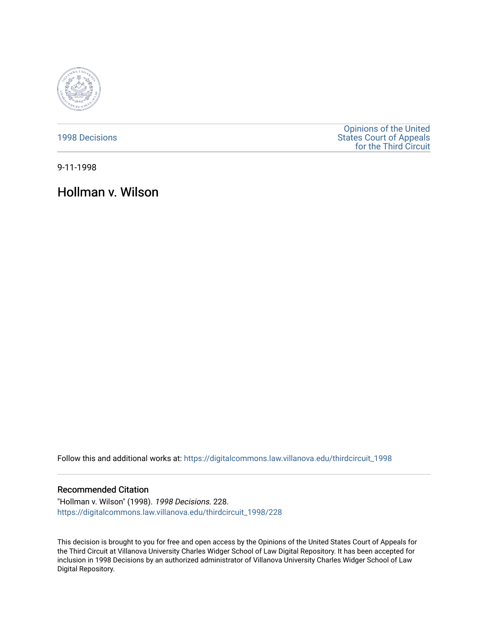

[1998 Decisions](https://digitalcommons.law.villanova.edu/thirdcircuit_1998)

[Opinions of the United](https://digitalcommons.law.villanova.edu/thirdcircuit)  [States Court of Appeals](https://digitalcommons.law.villanova.edu/thirdcircuit)  [for the Third Circuit](https://digitalcommons.law.villanova.edu/thirdcircuit) 

9-11-1998

Hollman v. Wilson

Follow this and additional works at: [https://digitalcommons.law.villanova.edu/thirdcircuit\\_1998](https://digitalcommons.law.villanova.edu/thirdcircuit_1998?utm_source=digitalcommons.law.villanova.edu%2Fthirdcircuit_1998%2F228&utm_medium=PDF&utm_campaign=PDFCoverPages) 

# Recommended Citation

"Hollman v. Wilson" (1998). 1998 Decisions. 228. [https://digitalcommons.law.villanova.edu/thirdcircuit\\_1998/228](https://digitalcommons.law.villanova.edu/thirdcircuit_1998/228?utm_source=digitalcommons.law.villanova.edu%2Fthirdcircuit_1998%2F228&utm_medium=PDF&utm_campaign=PDFCoverPages)

This decision is brought to you for free and open access by the Opinions of the United States Court of Appeals for the Third Circuit at Villanova University Charles Widger School of Law Digital Repository. It has been accepted for inclusion in 1998 Decisions by an authorized administrator of Villanova University Charles Widger School of Law Digital Repository.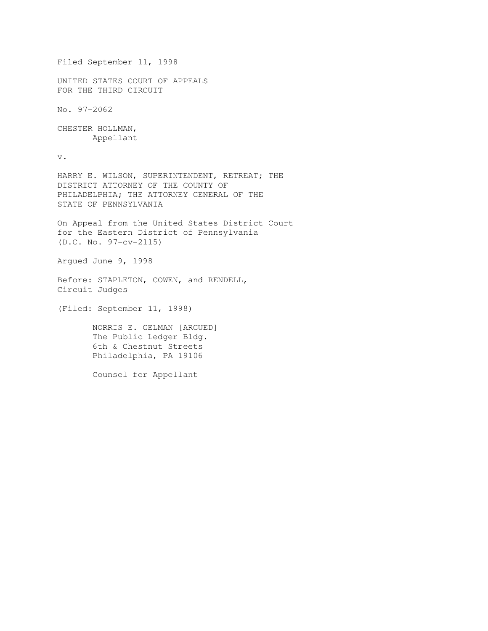```
Filed September 11, 1998 
UNITED STATES COURT OF APPEALS 
FOR THE THIRD CIRCUIT 
No. 97-2062 
CHESTER HOLLMAN, 
        Appellant 
v. 
HARRY E. WILSON, SUPERINTENDENT, RETREAT; THE 
DISTRICT ATTORNEY OF THE COUNTY OF 
PHILADELPHIA; THE ATTORNEY GENERAL OF THE 
STATE OF PENNSYLVANIA 
On Appeal from the United States District Court 
for the Eastern District of Pennsylvania 
(D.C. No. 97-cv-2115) 
Argued June 9, 1998 
Before: STAPLETON, COWEN, and RENDELL, 
Circuit Judges 
(Filed: September 11, 1998) 
        NORRIS E. GELMAN [ARGUED] 
        The Public Ledger Bldg. 
        6th & Chestnut Streets 
        Philadelphia, PA 19106 
        Counsel for Appellant
```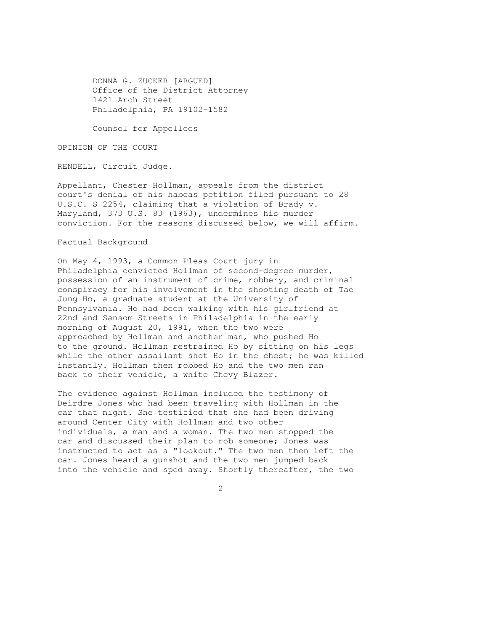DONNA G. ZUCKER [ARGUED] Office of the District Attorney 1421 Arch Street Philadelphia, PA 19102-1582

Counsel for Appellees

OPINION OF THE COURT

RENDELL, Circuit Judge.

Appellant, Chester Hollman, appeals from the district court's denial of his habeas petition filed pursuant to 28 U.S.C. S 2254, claiming that a violation of Brady v. Maryland, 373 U.S. 83 (1963), undermines his murder conviction. For the reasons discussed below, we will affirm.

### Factual Background

On May 4, 1993, a Common Pleas Court jury in Philadelphia convicted Hollman of second-degree murder, possession of an instrument of crime, robbery, and criminal conspiracy for his involvement in the shooting death of Tae Jung Ho, a graduate student at the University of Pennsylvania. Ho had been walking with his girlfriend at 22nd and Sansom Streets in Philadelphia in the early morning of August 20, 1991, when the two were approached by Hollman and another man, who pushed Ho to the ground. Hollman restrained Ho by sitting on his legs while the other assailant shot Ho in the chest; he was killed instantly. Hollman then robbed Ho and the two men ran back to their vehicle, a white Chevy Blazer.

The evidence against Hollman included the testimony of Deirdre Jones who had been traveling with Hollman in the car that night. She testified that she had been driving around Center City with Hollman and two other individuals, a man and a woman. The two men stopped the car and discussed their plan to rob someone; Jones was instructed to act as a "lookout." The two men then left the car. Jones heard a gunshot and the two men jumped back into the vehicle and sped away. Shortly thereafter, the two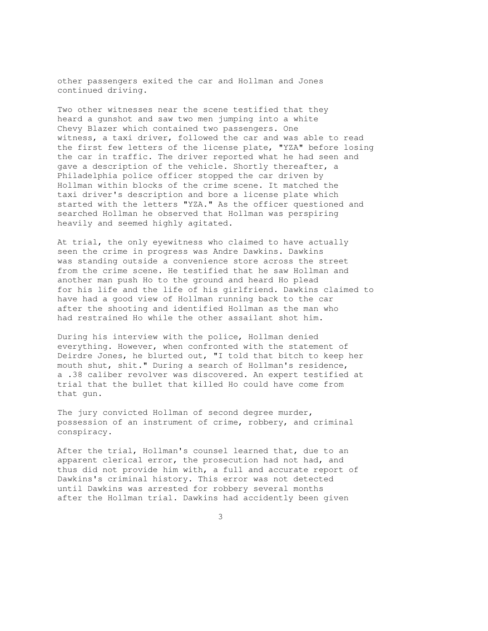other passengers exited the car and Hollman and Jones continued driving.

Two other witnesses near the scene testified that they heard a gunshot and saw two men jumping into a white Chevy Blazer which contained two passengers. One witness, a taxi driver, followed the car and was able to read the first few letters of the license plate, "YZA" before losing the car in traffic. The driver reported what he had seen and gave a description of the vehicle. Shortly thereafter, a Philadelphia police officer stopped the car driven by Hollman within blocks of the crime scene. It matched the taxi driver's description and bore a license plate which started with the letters "YZA." As the officer questioned and searched Hollman he observed that Hollman was perspiring heavily and seemed highly agitated.

At trial, the only eyewitness who claimed to have actually seen the crime in progress was Andre Dawkins. Dawkins was standing outside a convenience store across the street from the crime scene. He testified that he saw Hollman and another man push Ho to the ground and heard Ho plead for his life and the life of his girlfriend. Dawkins claimed to have had a good view of Hollman running back to the car after the shooting and identified Hollman as the man who had restrained Ho while the other assailant shot him.

During his interview with the police, Hollman denied everything. However, when confronted with the statement of Deirdre Jones, he blurted out, "I told that bitch to keep her mouth shut, shit." During a search of Hollman's residence, a .38 caliber revolver was discovered. An expert testified at trial that the bullet that killed Ho could have come from that gun.

The jury convicted Hollman of second degree murder, possession of an instrument of crime, robbery, and criminal conspiracy.

After the trial, Hollman's counsel learned that, due to an apparent clerical error, the prosecution had not had, and thus did not provide him with, a full and accurate report of Dawkins's criminal history. This error was not detected until Dawkins was arrested for robbery several months after the Hollman trial. Dawkins had accidently been given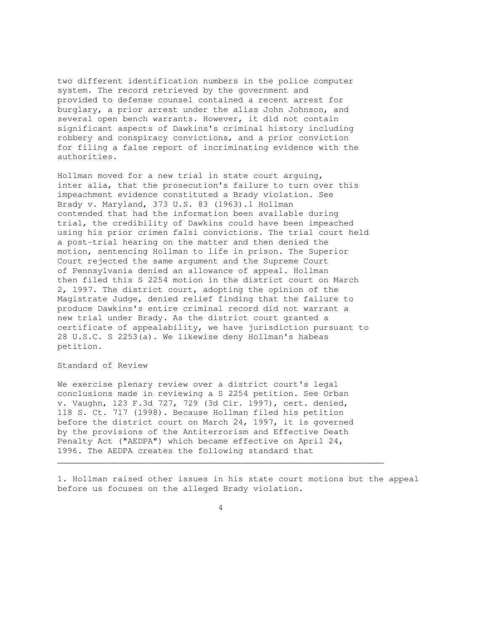two different identification numbers in the police computer system. The record retrieved by the government and provided to defense counsel contained a recent arrest for burglary, a prior arrest under the alias John Johnson, and several open bench warrants. However, it did not contain significant aspects of Dawkins's criminal history including robbery and conspiracy convictions, and a prior conviction for filing a false report of incriminating evidence with the authorities.

Hollman moved for a new trial in state court arguing, inter alia, that the prosecution's failure to turn over this impeachment evidence constituted a Brady violation. See Brady v. Maryland, 373 U.S. 83 (1963).1 Hollman contended that had the information been available during trial, the credibility of Dawkins could have been impeached using his prior crimen falsi convictions. The trial court held a post-trial hearing on the matter and then denied the motion, sentencing Hollman to life in prison. The Superior Court rejected the same argument and the Supreme Court of Pennsylvania denied an allowance of appeal. Hollman then filed this S 2254 motion in the district court on March 2, 1997. The district court, adopting the opinion of the Magistrate Judge, denied relief finding that the failure to produce Dawkins's entire criminal record did not warrant a new trial under Brady. As the district court granted a certificate of appealability, we have jurisdiction pursuant to 28 U.S.C. S 2253(a). We likewise deny Hollman's habeas petition.

## Standard of Review

We exercise plenary review over a district court's legal conclusions made in reviewing a S 2254 petition. See Orban v. Vaughn, 123 F.3d 727, 729 (3d Cir. 1997), cert. denied, 118 S. Ct. 717 (1998). Because Hollman filed his petition before the district court on March 24, 1997, it is governed by the provisions of the Antiterrorism and Effective Death Penalty Act ("AEDPA") which became effective on April 24, 1996. The AEDPA creates the following standard that

1. Hollman raised other issues in his state court motions but the appeal before us focuses on the alleged Brady violation.

4

 $\mathcal{L}_\mathcal{L}$  , and the set of the set of the set of the set of the set of the set of the set of the set of the set of the set of the set of the set of the set of the set of the set of the set of the set of the set of th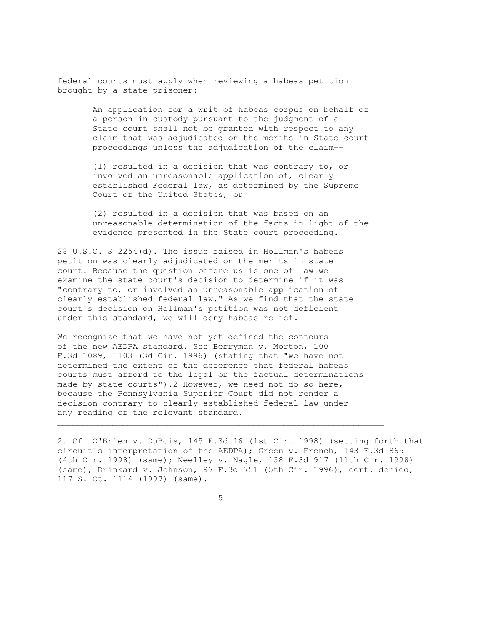federal courts must apply when reviewing a habeas petition brought by a state prisoner:

> An application for a writ of habeas corpus on behalf of a person in custody pursuant to the judgment of a State court shall not be granted with respect to any claim that was adjudicated on the merits in State court proceedings unless the adjudication of the claim--

 (1) resulted in a decision that was contrary to, or involved an unreasonable application of, clearly established Federal law, as determined by the Supreme Court of the United States, or

 (2) resulted in a decision that was based on an unreasonable determination of the facts in light of the evidence presented in the State court proceeding.

28 U.S.C. S 2254(d). The issue raised in Hollman's habeas petition was clearly adjudicated on the merits in state court. Because the question before us is one of law we examine the state court's decision to determine if it was "contrary to, or involved an unreasonable application of clearly established federal law." As we find that the state court's decision on Hollman's petition was not deficient under this standard, we will deny habeas relief.

We recognize that we have not yet defined the contours of the new AEDPA standard. See Berryman v. Morton, 100 F.3d 1089, 1103 (3d Cir. 1996) (stating that "we have not determined the extent of the deference that federal habeas courts must afford to the legal or the factual determinations made by state courts").2 However, we need not do so here, because the Pennsylvania Superior Court did not render a decision contrary to clearly established federal law under any reading of the relevant standard.

2. Cf. O'Brien v. DuBois, 145 F.3d 16 (1st Cir. 1998) (setting forth that circuit's interpretation of the AEDPA); Green v. French, 143 F.3d 865 (4th Cir. 1998) (same); Neelley v. Nagle, 138 F.3d 917 (11th Cir. 1998) (same); Drinkard v. Johnson, 97 F.3d 751 (5th Cir. 1996), cert. denied, 117 S. Ct. 1114 (1997) (same).

 $\sim$  5  $\sim$  5  $\sim$  5  $\sim$  5  $\sim$  5  $\sim$  5  $\sim$  5  $\sim$  5  $\sim$  5  $\sim$  5  $\sim$  5  $\sim$  5  $\sim$  5  $\sim$  5  $\sim$  5  $\sim$  5  $\sim$  5  $\sim$  5  $\sim$  5  $\sim$  5  $\sim$  5  $\sim$  5  $\sim$  5  $\sim$  5  $\sim$  5  $\sim$  5  $\sim$  5  $\sim$  5  $\sim$  5  $\sim$  5  $\sim$  5  $\sim$ 

 $\mathcal{L}_\mathcal{L}$  , and the set of the set of the set of the set of the set of the set of the set of the set of the set of the set of the set of the set of the set of the set of the set of the set of the set of the set of th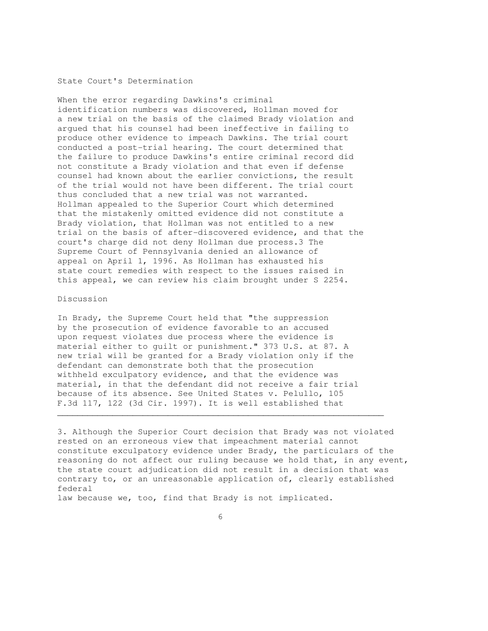### State Court's Determination

When the error regarding Dawkins's criminal identification numbers was discovered, Hollman moved for a new trial on the basis of the claimed Brady violation and argued that his counsel had been ineffective in failing to produce other evidence to impeach Dawkins. The trial court conducted a post-trial hearing. The court determined that the failure to produce Dawkins's entire criminal record did not constitute a Brady violation and that even if defense counsel had known about the earlier convictions, the result of the trial would not have been different. The trial court thus concluded that a new trial was not warranted. Hollman appealed to the Superior Court which determined that the mistakenly omitted evidence did not constitute a Brady violation, that Hollman was not entitled to a new trial on the basis of after-discovered evidence, and that the court's charge did not deny Hollman due process.3 The Supreme Court of Pennsylvania denied an allowance of appeal on April 1, 1996. As Hollman has exhausted his state court remedies with respect to the issues raised in this appeal, we can review his claim brought under S 2254.

## Discussion

In Brady, the Supreme Court held that "the suppression by the prosecution of evidence favorable to an accused upon request violates due process where the evidence is material either to guilt or punishment." 373 U.S. at 87. A new trial will be granted for a Brady violation only if the defendant can demonstrate both that the prosecution withheld exculpatory evidence, and that the evidence was material, in that the defendant did not receive a fair trial because of its absence. See United States v. Pelullo, 105 F.3d 117, 122 (3d Cir. 1997). It is well established that

3. Although the Superior Court decision that Brady was not violated rested on an erroneous view that impeachment material cannot constitute exculpatory evidence under Brady, the particulars of the reasoning do not affect our ruling because we hold that, in any event, the state court adjudication did not result in a decision that was contrary to, or an unreasonable application of, clearly established federal

 $\mathcal{L}_\mathcal{L}$  , and the contribution of the contribution of the contribution of the contribution of the contribution of the contribution of the contribution of the contribution of the contribution of the contribution of

law because we, too, find that Brady is not implicated.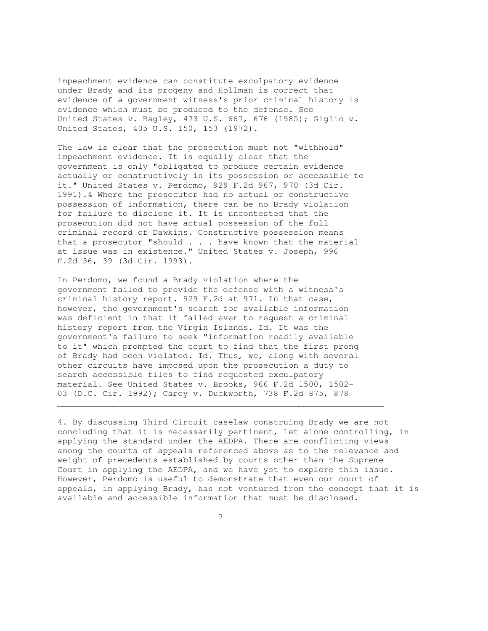impeachment evidence can constitute exculpatory evidence under Brady and its progeny and Hollman is correct that evidence of a government witness's prior criminal history is evidence which must be produced to the defense. See United States v. Bagley, 473 U.S. 667, 676 (1985); Giglio v. United States, 405 U.S. 150, 153 (1972).

The law is clear that the prosecution must not "withhold" impeachment evidence. It is equally clear that the government is only "obligated to produce certain evidence actually or constructively in its possession or accessible to it." United States v. Perdomo, 929 F.2d 967, 970 (3d Cir. 1991).4 Where the prosecutor had no actual or constructive possession of information, there can be no Brady violation for failure to disclose it. It is uncontested that the prosecution did not have actual possession of the full criminal record of Dawkins. Constructive possession means that a prosecutor "should  $\ldots$  . have known that the material at issue was in existence." United States v. Joseph, 996 F.2d 36, 39 (3d Cir. 1993).

In Perdomo, we found a Brady violation where the government failed to provide the defense with a witness's criminal history report. 929 F.2d at 971. In that case, however, the government's search for available information was deficient in that it failed even to request a criminal history report from the Virgin Islands. Id. It was the government's failure to seek "information readily available to it" which prompted the court to find that the first prong of Brady had been violated. Id. Thus, we, along with several other circuits have imposed upon the prosecution a duty to search accessible files to find requested exculpatory material. See United States v. Brooks, 966 F.2d 1500, 1502- 03 (D.C. Cir. 1992); Carey v. Duckworth, 738 F.2d 875, 878

4. By discussing Third Circuit caselaw construing Brady we are not concluding that it is necessarily pertinent, let alone controlling, in applying the standard under the AEDPA. There are conflicting views among the courts of appeals referenced above as to the relevance and weight of precedents established by courts other than the Supreme Court in applying the AEDPA, and we have yet to explore this issue. However, Perdomo is useful to demonstrate that even our court of appeals, in applying Brady, has not ventured from the concept that it is available and accessible information that must be disclosed.

 $\mathcal{L}_\mathcal{L}$  , and the set of the set of the set of the set of the set of the set of the set of the set of the set of the set of the set of the set of the set of the set of the set of the set of the set of the set of th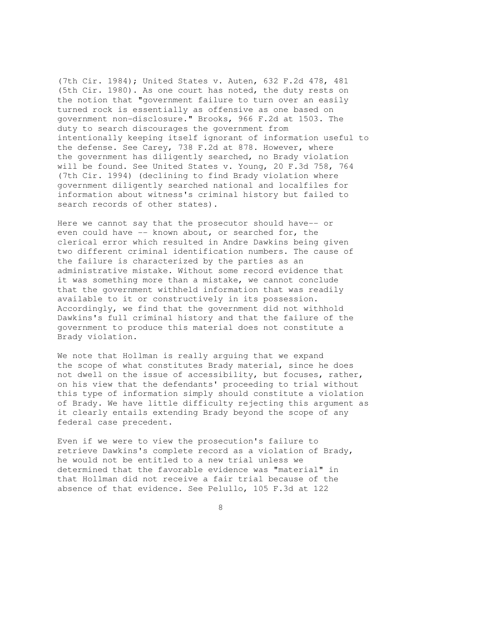(7th Cir. 1984); United States v. Auten, 632 F.2d 478, 481 (5th Cir. 1980). As one court has noted, the duty rests on the notion that "government failure to turn over an easily turned rock is essentially as offensive as one based on government non-disclosure." Brooks, 966 F.2d at 1503. The duty to search discourages the government from intentionally keeping itself ignorant of information useful to the defense. See Carey, 738 F.2d at 878. However, where the government has diligently searched, no Brady violation will be found. See United States v. Young, 20 F.3d 758, 764 (7th Cir. 1994) (declining to find Brady violation where government diligently searched national and localfiles for information about witness's criminal history but failed to search records of other states).

Here we cannot say that the prosecutor should have-- or even could have -- known about, or searched for, the clerical error which resulted in Andre Dawkins being given two different criminal identification numbers. The cause of the failure is characterized by the parties as an administrative mistake. Without some record evidence that it was something more than a mistake, we cannot conclude that the government withheld information that was readily available to it or constructively in its possession. Accordingly, we find that the government did not withhold Dawkins's full criminal history and that the failure of the government to produce this material does not constitute a Brady violation.

We note that Hollman is really arguing that we expand the scope of what constitutes Brady material, since he does not dwell on the issue of accessibility, but focuses, rather, on his view that the defendants' proceeding to trial without this type of information simply should constitute a violation of Brady. We have little difficulty rejecting this argument as it clearly entails extending Brady beyond the scope of any federal case precedent.

Even if we were to view the prosecution's failure to retrieve Dawkins's complete record as a violation of Brady, he would not be entitled to a new trial unless we determined that the favorable evidence was "material" in that Hollman did not receive a fair trial because of the absence of that evidence. See Pelullo, 105 F.3d at 122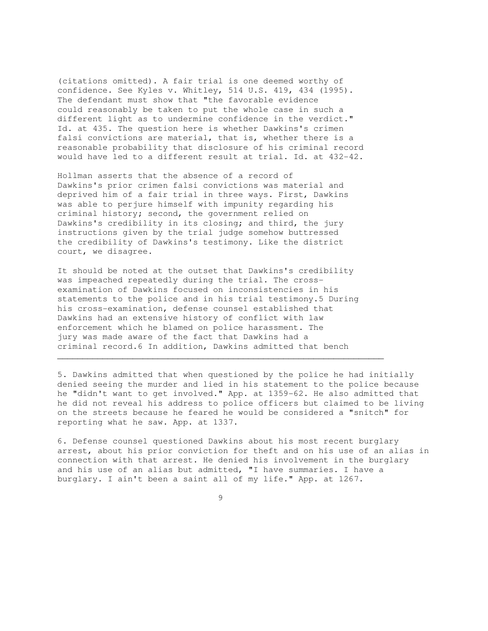(citations omitted). A fair trial is one deemed worthy of confidence. See Kyles v. Whitley, 514 U.S. 419, 434 (1995). The defendant must show that "the favorable evidence could reasonably be taken to put the whole case in such a different light as to undermine confidence in the verdict." Id. at 435. The question here is whether Dawkins's crimen falsi convictions are material, that is, whether there is a reasonable probability that disclosure of his criminal record would have led to a different result at trial. Id. at 432-42.

Hollman asserts that the absence of a record of Dawkins's prior crimen falsi convictions was material and deprived him of a fair trial in three ways. First, Dawkins was able to perjure himself with impunity regarding his criminal history; second, the government relied on Dawkins's credibility in its closing; and third, the jury instructions given by the trial judge somehow buttressed the credibility of Dawkins's testimony. Like the district court, we disagree.

It should be noted at the outset that Dawkins's credibility was impeached repeatedly during the trial. The crossexamination of Dawkins focused on inconsistencies in his statements to the police and in his trial testimony.5 During his cross-examination, defense counsel established that Dawkins had an extensive history of conflict with law enforcement which he blamed on police harassment. The jury was made aware of the fact that Dawkins had a criminal record.6 In addition, Dawkins admitted that bench

 $\mathcal{L}_\mathcal{L}$  , and the set of the set of the set of the set of the set of the set of the set of the set of the set of the set of the set of the set of the set of the set of the set of the set of the set of the set of th

5. Dawkins admitted that when questioned by the police he had initially denied seeing the murder and lied in his statement to the police because he "didn't want to get involved." App. at 1359-62. He also admitted that he did not reveal his address to police officers but claimed to be living on the streets because he feared he would be considered a "snitch" for reporting what he saw. App. at 1337.

6. Defense counsel questioned Dawkins about his most recent burglary arrest, about his prior conviction for theft and on his use of an alias in connection with that arrest. He denied his involvement in the burglary and his use of an alias but admitted, "I have summaries. I have a burglary. I ain't been a saint all of my life." App. at 1267.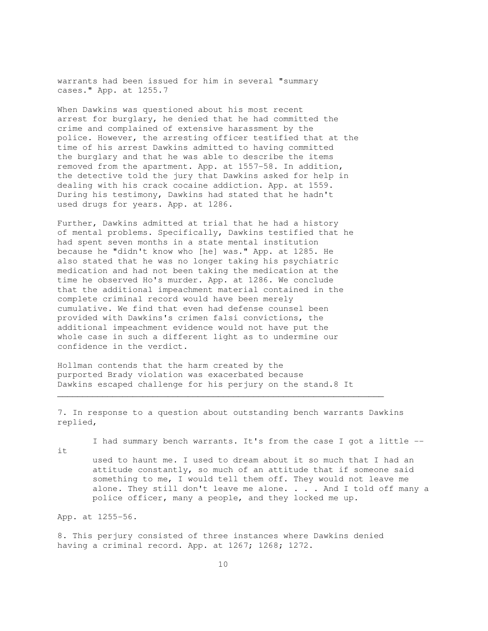warrants had been issued for him in several "summary cases." App. at 1255.7

When Dawkins was questioned about his most recent arrest for burglary, he denied that he had committed the crime and complained of extensive harassment by the police. However, the arresting officer testified that at the time of his arrest Dawkins admitted to having committed the burglary and that he was able to describe the items removed from the apartment. App. at 1557-58. In addition, the detective told the jury that Dawkins asked for help in dealing with his crack cocaine addiction. App. at 1559. During his testimony, Dawkins had stated that he hadn't used drugs for years. App. at 1286.

Further, Dawkins admitted at trial that he had a history of mental problems. Specifically, Dawkins testified that he had spent seven months in a state mental institution because he "didn't know who [he] was." App. at 1285. He also stated that he was no longer taking his psychiatric medication and had not been taking the medication at the time he observed Ho's murder. App. at 1286. We conclude that the additional impeachment material contained in the complete criminal record would have been merely cumulative. We find that even had defense counsel been provided with Dawkins's crimen falsi convictions, the additional impeachment evidence would not have put the whole case in such a different light as to undermine our confidence in the verdict.

Hollman contends that the harm created by the purported Brady violation was exacerbated because Dawkins escaped challenge for his perjury on the stand.8 It

7. In response to a question about outstanding bench warrants Dawkins replied,

 $\mathcal{L}_\mathcal{L}$  , and the set of the set of the set of the set of the set of the set of the set of the set of the set of the set of the set of the set of the set of the set of the set of the set of the set of the set of th

I had summary bench warrants. It's from the case I got a little --

it

 used to haunt me. I used to dream about it so much that I had an attitude constantly, so much of an attitude that if someone said something to me, I would tell them off. They would not leave me alone. They still don't leave me alone. . . . And I told off many a police officer, many a people, and they locked me up.

App. at 1255-56.

8. This perjury consisted of three instances where Dawkins denied having a criminal record. App. at 1267; 1268; 1272.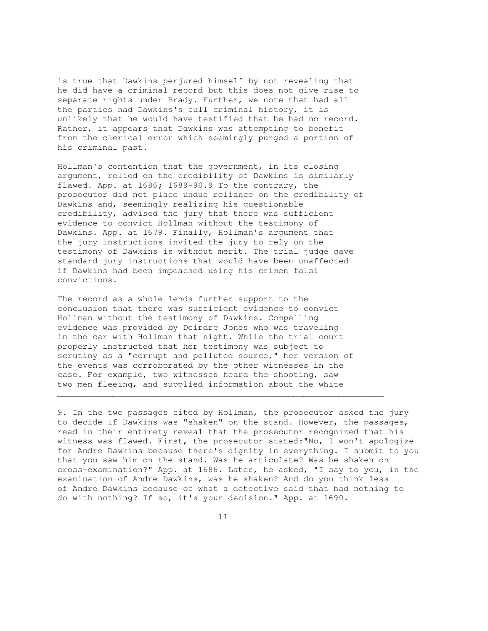is true that Dawkins perjured himself by not revealing that he did have a criminal record but this does not give rise to separate rights under Brady. Further, we note that had all the parties had Dawkins's full criminal history, it is unlikely that he would have testified that he had no record. Rather, it appears that Dawkins was attempting to benefit from the clerical error which seemingly purged a portion of his criminal past.

Hollman's contention that the government, in its closing argument, relied on the credibility of Dawkins is similarly flawed. App. at 1686; 1689-90.9 To the contrary, the prosecutor did not place undue reliance on the credibility of Dawkins and, seemingly realizing his questionable credibility, advised the jury that there was sufficient evidence to convict Hollman without the testimony of Dawkins. App. at 1679. Finally, Hollman's argument that the jury instructions invited the jury to rely on the testimony of Dawkins is without merit. The trial judge gave standard jury instructions that would have been unaffected if Dawkins had been impeached using his crimen falsi convictions.

The record as a whole lends further support to the conclusion that there was sufficient evidence to convict Hollman without the testimony of Dawkins. Compelling evidence was provided by Deirdre Jones who was traveling in the car with Hollman that night. While the trial court properly instructed that her testimony was subject to scrutiny as a "corrupt and polluted source," her version of the events was corroborated by the other witnesses in the case. For example, two witnesses heard the shooting, saw two men fleeing, and supplied information about the white

9. In the two passages cited by Hollman, the prosecutor asked the jury to decide if Dawkins was "shaken" on the stand. However, the passages, read in their entirety reveal that the prosecutor recognized that his witness was flawed. First, the prosecutor stated:"No, I won't apologize for Andre Dawkins because there's dignity in everything. I submit to you that you saw him on the stand. Was he articulate? Was he shaken on cross-examination?" App. at 1686. Later, he asked, "I say to you, in the examination of Andre Dawkins, was he shaken? And do you think less of Andre Dawkins because of what a detective said that had nothing to do with nothing? If so, it's your decision." App. at 1690.

 $\mathcal{L}_\mathcal{L}$  , and the contribution of the contribution of the contribution of the contribution of the contribution of the contribution of the contribution of the contribution of the contribution of the contribution of